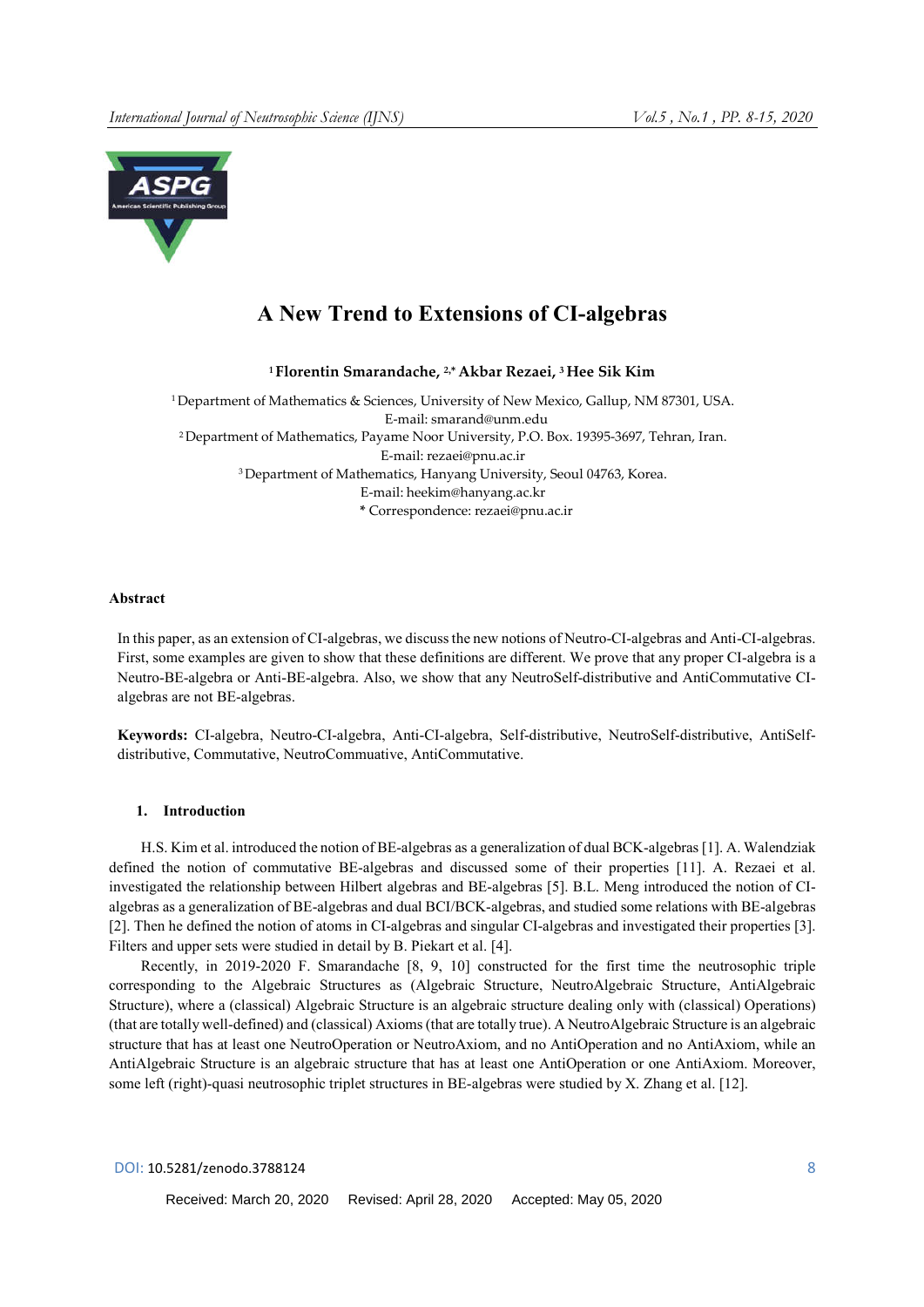

# A New Trend to Extensions of CI-algebras

<sup>1</sup> Florentin Smarandache, <sup>2,\*</sup> Akbar Rezaei, <sup>3</sup> Hee Sik Kim

1 Department of Mathematics & Sciences, University of New Mexico, Gallup, NM 87301, USA. E-mail: smarand@unm.edu 2 Department of Mathematics, Payame Noor University, P.O. Box. 19395-3697, Tehran, Iran. E-mail: rezaei@pnu.ac.ir 3 Department of Mathematics, Hanyang University, Seoul 04763, Korea. E-mail: heekim@hanyang.ac.kr \* Correspondence: rezaei@pnu.ac.ir

#### Abstract

In this paper, as an extension of CI-algebras, we discuss the new notions of Neutro-CI-algebras and Anti-CI-algebras. First, some examples are given to show that these definitions are different. We prove that any proper CI-algebra is a Neutro-BE-algebra or Anti-BE-algebra. Also, we show that any NeutroSelf-distributive and AntiCommutative CIalgebras are not BE-algebras.

Keywords: CI-algebra, Neutro-CI-algebra, Anti-CI-algebra, Self-distributive, NeutroSelf-distributive, AntiSelfdistributive, Commutative, NeutroCommuative, AntiCommutative.

## 1. Introduction

H.S. Kim et al. introduced the notion of BE-algebras as a generalization of dual BCK-algebras [1]. A. Walendziak defined the notion of commutative BE-algebras and discussed some of their properties [11]. A. Rezaei et al. investigated the relationship between Hilbert algebras and BE-algebras [5]. B.L. Meng introduced the notion of CIalgebras as a generalization of BE-algebras and dual BCI/BCK-algebras, and studied some relations with BE-algebras [2]. Then he defined the notion of atoms in CI-algebras and singular CI-algebras and investigated their properties [3]. Filters and upper sets were studied in detail by B. Piekart et al. [4].

Recently, in 2019-2020 F. Smarandache [8, 9, 10] constructed for the first time the neutrosophic triple corresponding to the Algebraic Structures as (Algebraic Structure, NeutroAlgebraic Structure, AntiAlgebraic Structure), where a (classical) Algebraic Structure is an algebraic structure dealing only with (classical) Operations) (that are totally well-defined) and (classical) Axioms (that are totally true). A NeutroAlgebraic Structure is an algebraic structure that has at least one NeutroOperation or NeutroAxiom, and no AntiOperation and no AntiAxiom, while an AntiAlgebraic Structure is an algebraic structure that has at least one AntiOperation or one AntiAxiom. Moreover, some left (right)-quasi neutrosophic triplet structures in BE-algebras were studied by X. Zhang et al. [12].

DOI: 10.5281/zenodo.3788124 8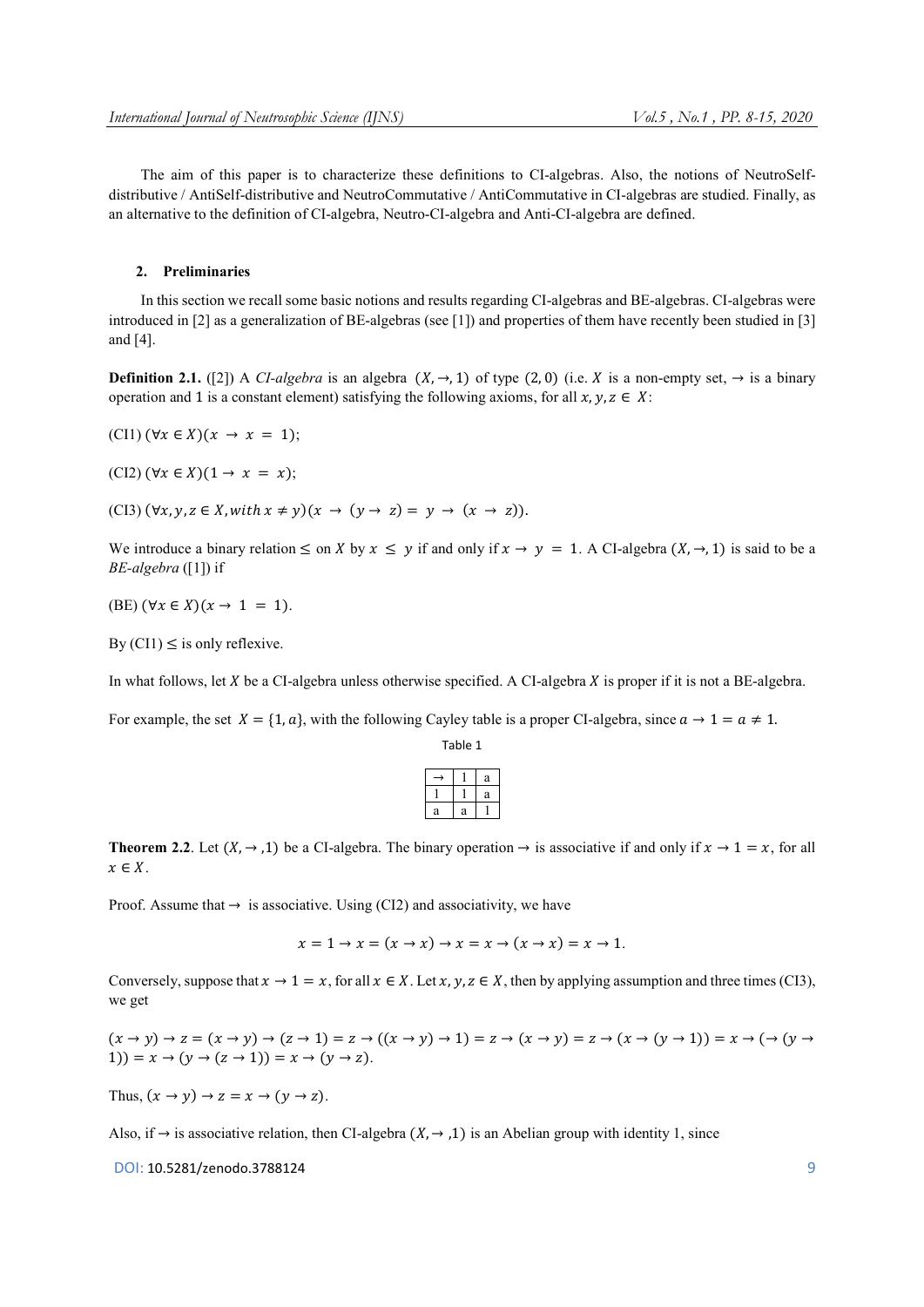The aim of this paper is to characterize these definitions to CI-algebras. Also, the notions of NeutroSelfdistributive / AntiSelf-distributive and NeutroCommutative / AntiCommutative in CI-algebras are studied. Finally, as an alternative to the definition of CI-algebra, Neutro-CI-algebra and Anti-CI-algebra are defined.

## 2. Preliminaries

In this section we recall some basic notions and results regarding CI-algebras and BE-algebras. CI-algebras were introduced in [2] as a generalization of BE-algebras (see [1]) and properties of them have recently been studied in [3] and [4].

**Definition 2.1.** ([2]) A *CI-algebra* is an algebra  $(X, \rightarrow, 1)$  of type (2,0) (i.e. X is a non-empty set,  $\rightarrow$  is a binary operation and 1 is a constant element) satisfying the following axioms, for all  $x, y, z \in X$ :

 $(CI1)$   $(\forall x \in X)(x \rightarrow x = 1)$ ;

 $(CI2)$   $(\forall x \in X)(1 \rightarrow x = x);$ 

(CI3)  $(\forall x, y, z \in X$ , with  $x \neq y$   $(x \rightarrow (y \rightarrow z) = y \rightarrow (x \rightarrow z))$ .

We introduce a binary relation  $\leq$  on X by  $x \leq y$  if and only if  $x \to y = 1$ . A CI-algebra  $(X, \to, 1)$  is said to be a *BE-algebra* ([1]) if

(BE)  $(\forall x \in X)(x \rightarrow 1 = 1)$ .

By  $(CI1) \le$  is only reflexive.

In what follows, let  $X$  be a CI-algebra unless otherwise specified. A CI-algebra  $X$  is proper if it is not a BE-algebra.

For example, the set  $X = \{1, a\}$ , with the following Cayley table is a proper CI-algebra, since  $a \to 1 = a \neq 1$ .

|   |   | a |
|---|---|---|
|   |   | a |
| a | a |   |
|   |   |   |

Table 1

**Theorem 2.2.** Let  $(X, \rightarrow, 1)$  be a CI-algebra. The binary operation  $\rightarrow$  is associative if and only if  $x \rightarrow 1 = x$ , for all  $x \in X$ .

Proof. Assume that  $\rightarrow$  is associative. Using (CI2) and associativity, we have

 $x = 1 \rightarrow x = (x \rightarrow x) \rightarrow x = x \rightarrow (x \rightarrow x) = x \rightarrow 1.$ 

Conversely, suppose that  $x \to 1 = x$ , for all  $x \in X$ . Let  $x, y, z \in X$ , then by applying assumption and three times (CI3), we get

 $(x \rightarrow y) \rightarrow z = (x \rightarrow y) \rightarrow (z \rightarrow 1) = z \rightarrow ((x \rightarrow y) \rightarrow 1) = z \rightarrow (x \rightarrow y) = z \rightarrow (x \rightarrow (y \rightarrow 1)) = x \rightarrow (\rightarrow (y \rightarrow$ 1)) =  $x \rightarrow (y \rightarrow (z \rightarrow 1)) = x \rightarrow (y \rightarrow z)$ .

Thus,  $(x \to y) \to z = x \to (y \to z)$ .

Also, if  $\rightarrow$  is associative relation, then CI-algebra ( $X$ ,  $\rightarrow$  ,1) is an Abelian group with identity 1, since

DOI: 10.5281/zenodo.3788124 9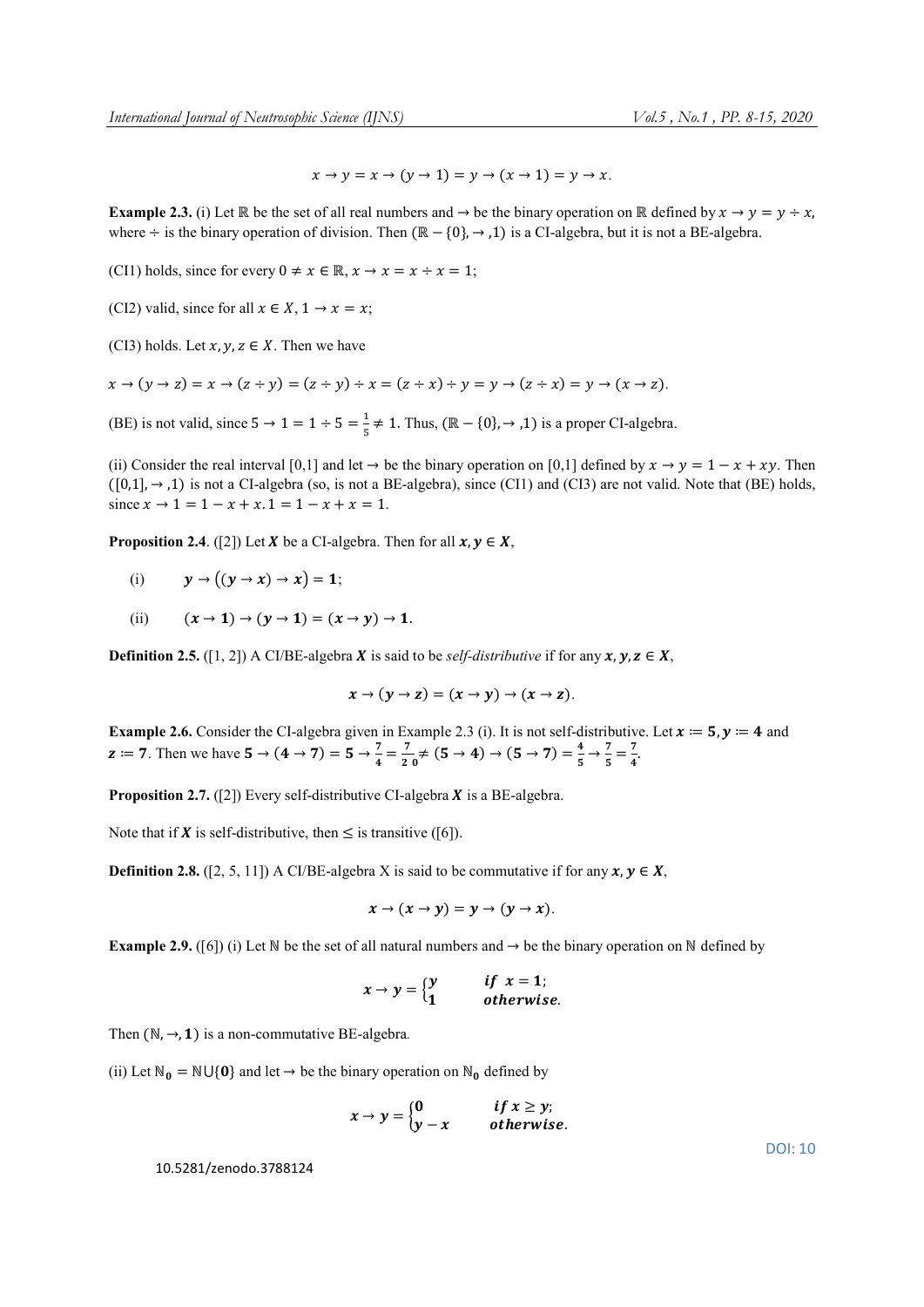$x \to y = x \to (y \to 1) = y \to (x \to 1) = y \to x$ .

**Example 2.3.** (i) Let ℝ be the set of all real numbers and  $\rightarrow$  be the binary operation on ℝ defined by  $x \rightarrow y = y \div x$ , where ÷ is the binary operation of division. Then  $(\mathbb{R} - \{0\}, \rightarrow, 1)$  is a CI-algebra, but it is not a BE-algebra.

(CI1) holds, since for every  $0 \neq x \in \mathbb{R}, x \to x = x \div x = 1$ ;

(CI2) valid, since for all  $x \in X$ ,  $1 \to x = x$ ;

(CI3) holds. Let  $x, y, z \in X$ . Then we have

$$
x \to (y \to z) = x \to (z \div y) = (z \div y) \div x = (z \div x) \div y = y \to (z \div x) = y \to (x \to z).
$$

(BE) is not valid, since  $5 \rightarrow 1 = 1 \div 5 = \frac{1}{5} \neq 1$ . Thus,  $(\mathbb{R} - \{0\}, \rightarrow, 1)$  is a proper CI-algebra.

(ii) Consider the real interval [0,1] and let  $\rightarrow$  be the binary operation on [0,1] defined by  $x \rightarrow y = 1 - x + xy$ . Then  $([0,1], \rightarrow, 1)$  is not a CI-algebra (so, is not a BE-algebra), since (CI1) and (CI3) are not valid. Note that (BE) holds, since  $x \to 1 = 1 - x + x$ .  $1 = 1 - x + x = 1$ .

**Proposition 2.4.** ([2]) Let **X** be a CI-algebra. Then for all  $x, y \in X$ ,

- (i)  $y \to ((y \to x) \to x) = 1;$
- (ii)  $(x \to 1) \to (y \to 1) = (x \to y) \to 1$ .

**Definition 2.5.** ([1, 2]) A CI/BE-algebra **X** is said to be *self-distributive* if for any  $x, y, z \in X$ ,

$$
x\rightarrow (y\rightarrow z)=(x\rightarrow y)\rightarrow (x\rightarrow z).
$$

**Example 2.6.** Consider the CI-algebra given in Example 2.3 (i). It is not self-distributive. Let  $x = 5$ ,  $y = 4$  and  $z := 7$ . Then we have  $5 \to (4 \to 7) = 5 \to \frac{7}{4} = \frac{7}{20} \neq (5 \to 4) \to (5 \to 7) = \frac{4}{5} \to \frac{7}{5} = \frac{7}{4}$ .

**Proposition 2.7.** ([2]) Every self-distributive CI-algebra  $X$  is a BE-algebra.

Note that if **X** is self-distributive, then  $\leq$  is transitive ([6]).

**Definition 2.8.** ([2, 5, 11]) A CI/BE-algebra X is said to be commutative if for any  $x, y \in X$ ,

$$
x\rightarrow (x\rightarrow y)=y\rightarrow (y\rightarrow x).
$$

**Example 2.9.** ([6]) (i) Let N be the set of all natural numbers and  $\rightarrow$  be the binary operation on N defined by

$$
x \to y = \begin{cases} y & \text{if } x = 1; \\ 1 & \text{otherwise.} \end{cases}
$$

Then  $(N, \rightarrow, 1)$  is a non-commutative BE-algebra.

(ii) Let  $\mathbb{N}_0 = \mathbb{N} \cup \{0\}$  and let  $\rightarrow$  be the binary operation on  $\mathbb{N}_0$  defined by

$$
x \to y = \begin{cases} 0 & \text{if } x \geq y; \\ y - x & \text{otherwise.} \end{cases}
$$

10.5281/zenodo.3788124

DOI: 10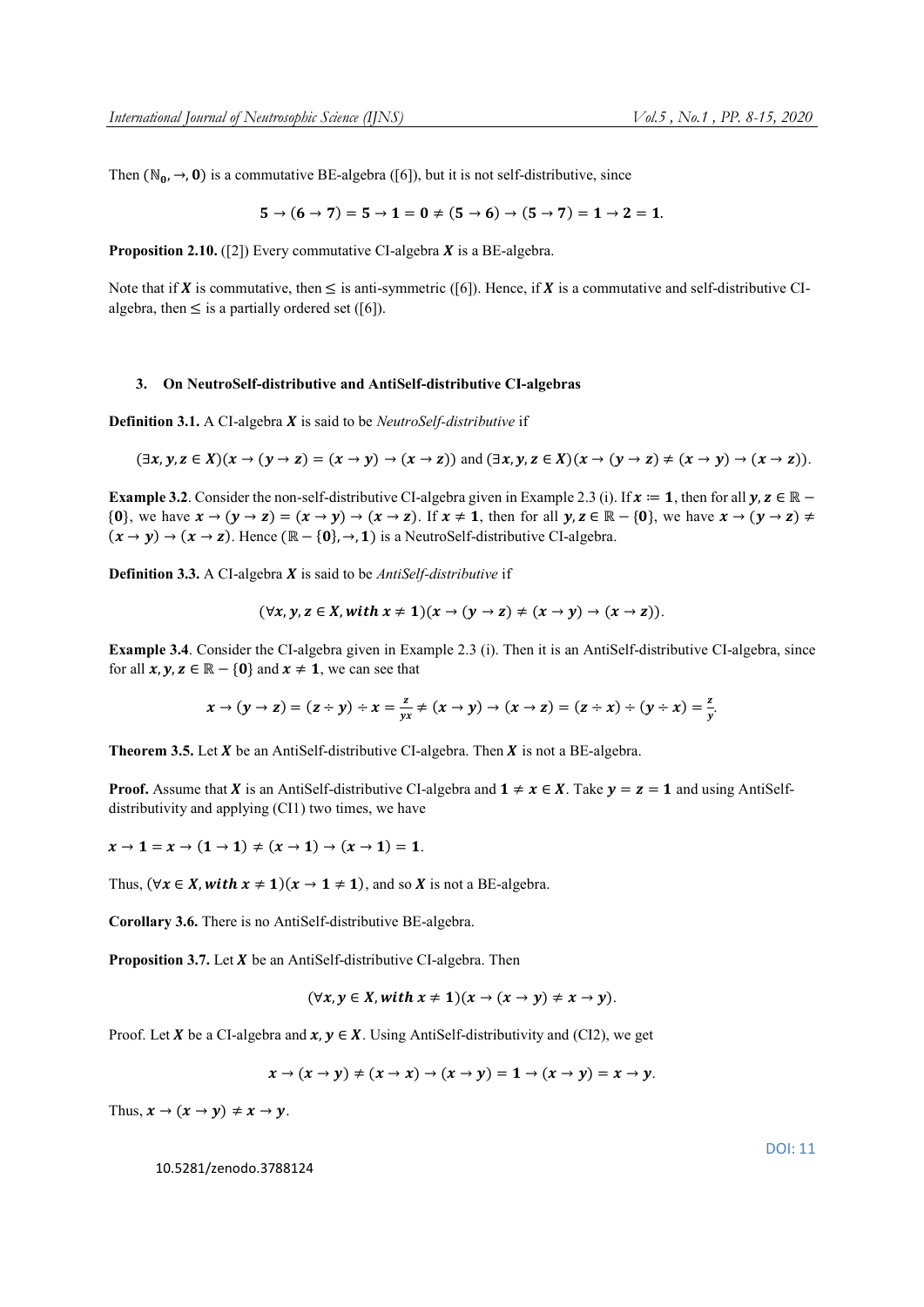Then ( $\mathbb{N}_0$ ,  $\rightarrow$ , 0) is a commutative BE-algebra ([6]), but it is not self-distributive, since

$$
5\rightarrow (6\rightarrow 7)=5\rightarrow 1=0\neq (5\rightarrow 6)\rightarrow (5\rightarrow 7)=1\rightarrow 2=1.
$$

**Proposition 2.10.** ([2]) Every commutative CI-algebra  $X$  is a BE-algebra.

Note that if **X** is commutative, then  $\leq$  is anti-symmetric ([6]). Hence, if **X** is a commutative and self-distributive CIalgebra, then  $\leq$  is a partially ordered set ([6]).

## 3. On NeutroSelf-distributive and AntiSelf-distributive CI-algebras

**Definition 3.1.** A CI-algebra **X** is said to be *NeutroSelf-distributive* if

$$
(\exists x, y, z \in X)(x \to (y \to z) = (x \to y) \to (x \to z)) \text{ and } (\exists x, y, z \in X)(x \to (y \to z) \neq (x \to y) \to (x \to z)).
$$

**Example 3.2.** Consider the non-self-distributive CI-algebra given in Example 2.3 (i). If  $x := 1$ , then for all  $y, z \in \mathbb{R}$  – {0}, we have  $x \to (y \to z) = (x \to y) \to (x \to z)$ . If  $x \ne 1$ , then for all  $y, z \in \mathbb{R} - \{0\}$ , we have  $x \to (y \to z) \ne 0$  $(x \rightarrow y) \rightarrow (x \rightarrow z)$ . Hence  $(\mathbb{R} - \{0\}, \rightarrow, 1)$  is a NeutroSelf-distributive CI-algebra.

**Definition 3.3.** A CI-algebra **X** is said to be *AntiSelf-distributive* if

$$
(\forall x, y, z \in X, with x \neq 1)(x \rightarrow (y \rightarrow z) \neq (x \rightarrow y) \rightarrow (x \rightarrow z)).
$$

Example 3.4. Consider the CI-algebra given in Example 2.3 (i). Then it is an AntiSelf-distributive CI-algebra, since for all  $x, y, z \in \mathbb{R} - \{0\}$  and  $x \neq 1$ , we can see that

$$
x \to (y \to z) = (z \div y) \div x = \frac{z}{yx} \neq (x \to y) \to (x \to z) = (z \div x) \div (y \div x) = \frac{z}{y}.
$$

**Theorem 3.5.** Let  $X$  be an AntiSelf-distributive CI-algebra. Then  $X$  is not a BE-algebra.

**Proof.** Assume that **X** is an AntiSelf-distributive CI-algebra and  $1 \neq x \in X$ . Take  $y = z = 1$  and using AntiSelfdistributivity and applying (CI1) two times, we have

 $x \to 1 = x \to (1 \to 1) \neq (x \to 1) \to (x \to 1) = 1$ .

Thus,  $(\forall x \in X, with x \neq 1)(x \rightarrow 1 \neq 1)$ , and so X is not a BE-algebra.

Corollary 3.6. There is no AntiSelf-distributive BE-algebra.

**Proposition 3.7.** Let  $X$  be an AntiSelf-distributive CI-algebra. Then

$$
(\forall x, y \in X, with x \neq 1)(x \rightarrow (x \rightarrow y) \neq x \rightarrow y).
$$

Proof. Let X be a CI-algebra and  $x, y \in X$ . Using AntiSelf-distributivity and (CI2), we get

$$
x \to (x \to y) \neq (x \to x) \to (x \to y) = 1 \to (x \to y) = x \to y.
$$

Thus,  $x \to (x \to y) \neq x \to y$ .

10.5281/zenodo.3788124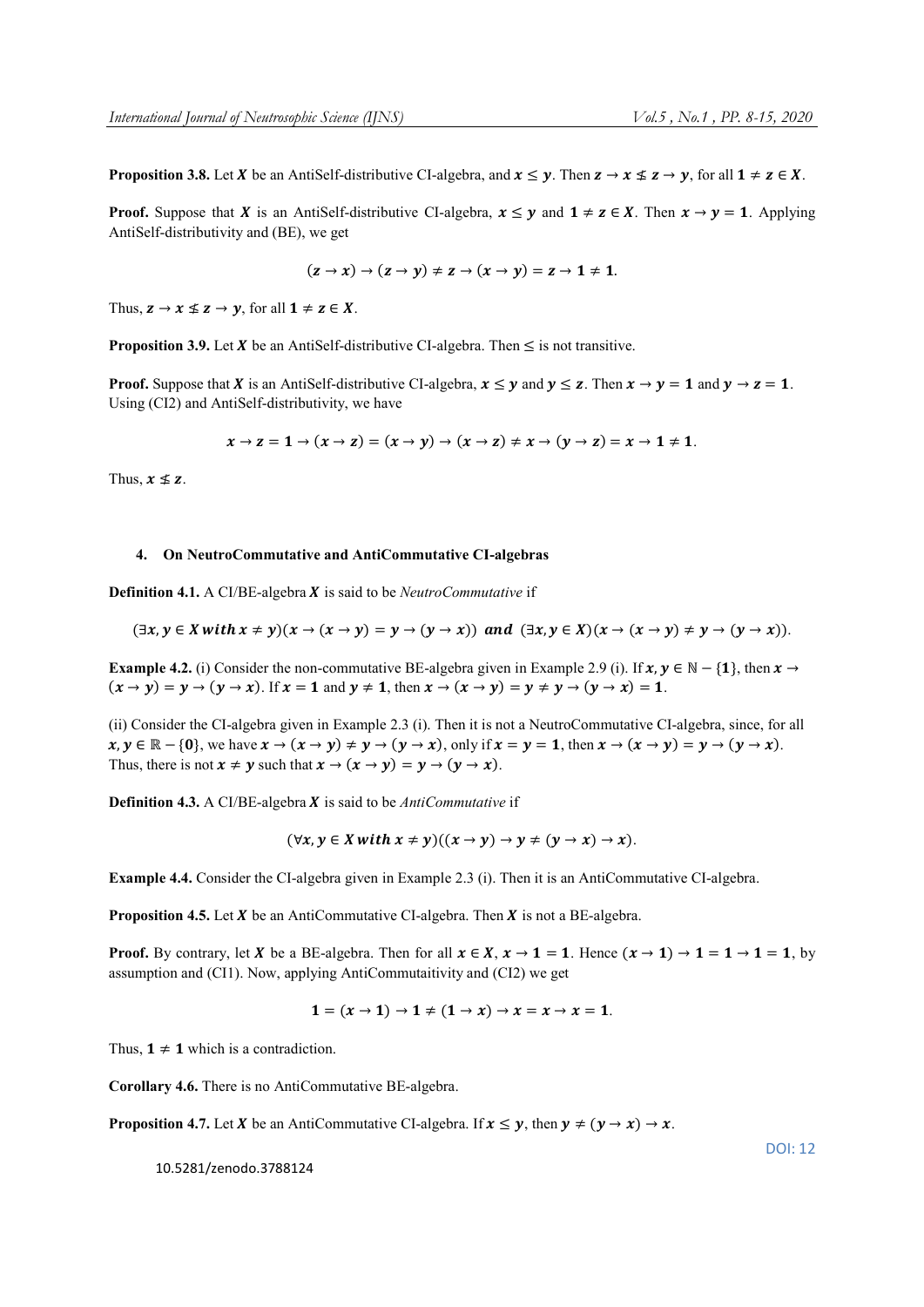**Proposition 3.8.** Let X be an AntiSelf-distributive CI-algebra, and  $x \le y$ . Then  $z \to x \le z \to y$ , for all  $1 \ne z \in X$ .

**Proof.** Suppose that **X** is an AntiSelf-distributive CI-algebra,  $x \leq y$  and  $1 \neq z \in X$ . Then  $x \to y = 1$ . Applying AntiSelf-distributivity and (BE), we get

$$
(z \to x) \to (z \to y) \neq z \to (x \to y) = z \to 1 \neq 1.
$$

Thus,  $z \to x \nleq z \to y$ , for all  $1 \neq z \in X$ .

**Proposition 3.9.** Let  $X$  be an AntiSelf-distributive CI-algebra. Then  $\leq$  is not transitive.

**Proof.** Suppose that **X** is an AntiSelf-distributive CI-algebra,  $x \le y$  and  $y \le z$ . Then  $x \to y = 1$  and  $y \to z = 1$ . Using (CI2) and AntiSelf-distributivity, we have

$$
x \to z = 1 \to (x \to z) = (x \to y) \to (x \to z) \neq x \to (y \to z) = x \to 1 \neq 1.
$$

Thus,  $x \nleq z$ .

## 4. On NeutroCommutative and AntiCommutative CI-algebras

**Definition 4.1.** A CI/BE-algebra *X* is said to be *NeutroCommutative* if

$$
(\exists x, y \in X \text{ with } x \neq y)(x \rightarrow (x \rightarrow y) = y \rightarrow (y \rightarrow x)) \text{ and } (\exists x, y \in X)(x \rightarrow (x \rightarrow y) \neq y \rightarrow (y \rightarrow x)).
$$

**Example 4.2.** (i) Consider the non-commutative BE-algebra given in Example 2.9 (i). If  $x, y \in \mathbb{N} - \{1\}$ , then  $x \to$  $(x \rightarrow y) = y \rightarrow (y \rightarrow x)$ . If  $x = 1$  and  $y \ne 1$ , then  $x \rightarrow (x \rightarrow y) = y \ne y \rightarrow (y \rightarrow x) = 1$ .

(ii) Consider the CI-algebra given in Example 2.3 (i). Then it is not a NeutroCommutative CI-algebra, since, for all  $x, y \in \mathbb{R} - \{0\}$ , we have  $x \to (x \to y) \neq y \to (y \to x)$ , only if  $x = y = 1$ , then  $x \to (x \to y) = y \to (y \to x)$ . Thus, there is not  $x \neq y$  such that  $x \rightarrow (x \rightarrow y) = y \rightarrow (y \rightarrow x)$ .

Definition 4.3. A CI/BE-algebra *X* is said to be *AntiCommutative* if

$$
(\forall x, y \in X \text{ with } x \neq y)((x \rightarrow y) \rightarrow y \neq (y \rightarrow x) \rightarrow x).
$$

Example 4.4. Consider the CI-algebra given in Example 2.3 (i). Then it is an AntiCommutative CI-algebra.

**Proposition 4.5.** Let  $X$  be an AntiCommutative CI-algebra. Then  $X$  is not a BE-algebra.

**Proof.** By contrary, let X be a BE-algebra. Then for all  $x \in X$ ,  $x \to 1 = 1$ . Hence  $(x \to 1) \to 1 = 1 \to 1 = 1$ , by assumption and (CI1). Now, applying AntiCommutaitivity and (CI2) we get

$$
1=(x\rightarrow 1)\rightarrow 1\neq (1\rightarrow x)\rightarrow x=x\rightarrow x=1.
$$

Thus,  $1 \neq 1$  which is a contradiction.

Corollary 4.6. There is no AntiCommutative BE-algebra.

**Proposition 4.7.** Let **X** be an AntiCommutative CI-algebra. If  $x \le y$ , then  $y \ne (y \rightarrow x) \rightarrow x$ .

10.5281/zenodo.3788124

DOI: 12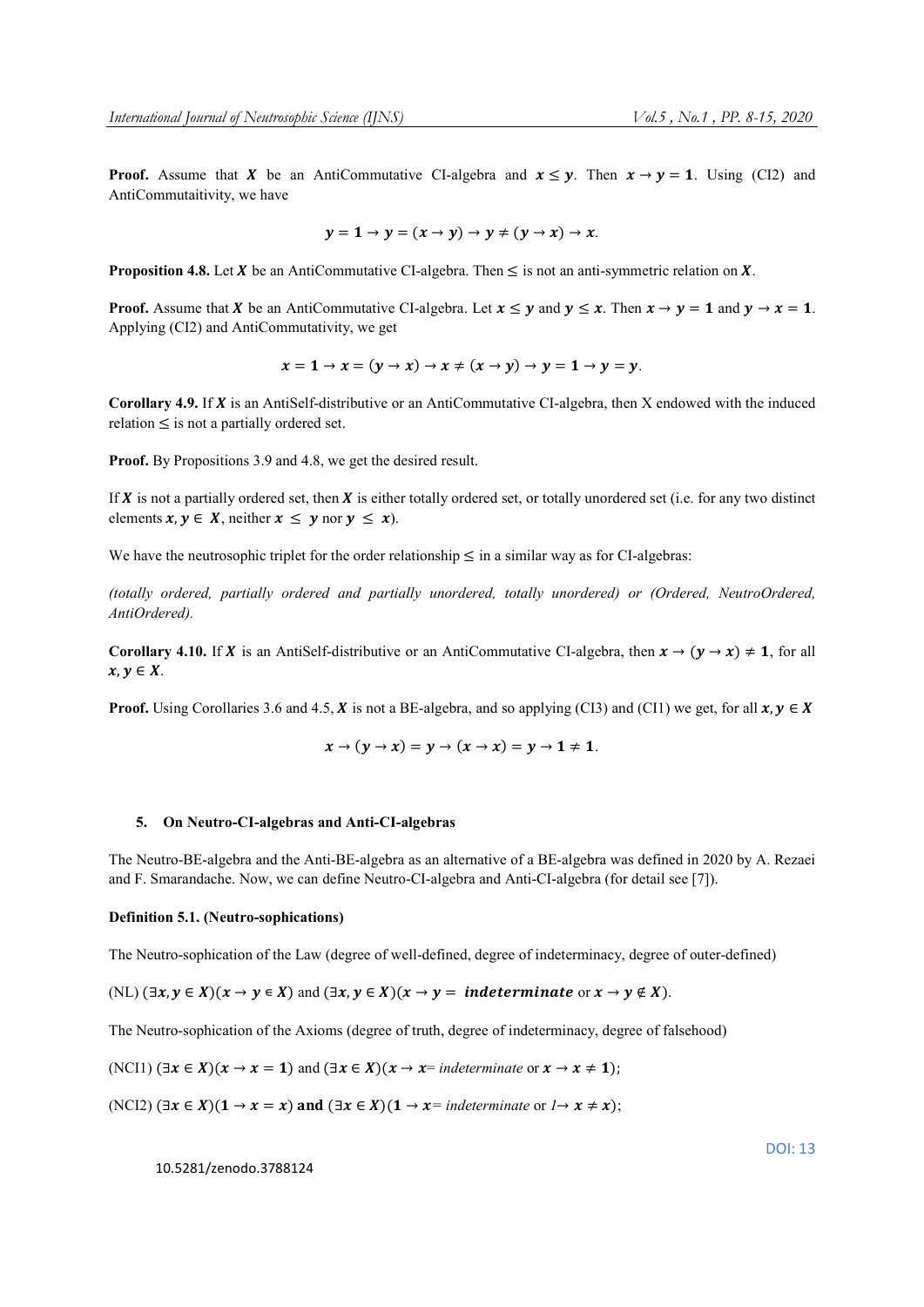**Proof.** Assume that **X** be an AntiCommutative CI-algebra and  $x \le y$ . Then  $x \to y = 1$ . Using (CI2) and AntiCommutaitivity, we have

$$
y = 1 \rightarrow y = (x \rightarrow y) \rightarrow y \neq (y \rightarrow x) \rightarrow x.
$$

**Proposition 4.8.** Let  $X$  be an AntiCommutative CI-algebra. Then  $\leq$  is not an anti-symmetric relation on  $X$ .

**Proof.** Assume that **X** be an AntiCommutative CI-algebra. Let  $x \le y$  and  $y \le x$ . Then  $x \to y = 1$  and  $y \to x = 1$ . Applying (CI2) and AntiCommutativity, we get

$$
x = 1 \rightarrow x = (y \rightarrow x) \rightarrow x \neq (x \rightarrow y) \rightarrow y = 1 \rightarrow y = y.
$$

Corollary 4.9. If  $X$  is an AntiSelf-distributive or an AntiCommutative CI-algebra, then  $X$  endowed with the induced  $relation \leq$  is not a partially ordered set.

Proof. By Propositions 3.9 and 4.8, we get the desired result.

If  $X$  is not a partially ordered set, then  $X$  is either totally ordered set, or totally unordered set (i.e. for any two distinct elements  $x, y \in X$ , neither  $x \leq y$  nor  $y \leq x$ ).

We have the neutrosophic triplet for the order relationship  $\leq$  in a similar way as for CI-algebras:

*(totally ordered, partially ordered and partially unordered, totally unordered) or (Ordered, NeutroOrdered, AntiOrdered).*

Corollary 4.10. If X is an AntiSelf-distributive or an AntiCommutative CI-algebra, then  $x \to (y \to x) \neq 1$ , for all  $x, y \in X$ .

**Proof.** Using Corollaries 3.6 and 4.5, **X** is not a BE-algebra, and so applying (CI3) and (CI1) we get, for all  $x, y \in X$ 

$$
x\rightarrow (y\rightarrow x)=y\rightarrow (x\rightarrow x)=y\rightarrow 1\neq 1.
$$

#### 5. On Neutro-CI-algebras and Anti-CI-algebras

The Neutro-BE-algebra and the Anti-BE-algebra as an alternative of a BE-algebra was defined in 2020 by A. Rezaei and F. Smarandache. Now, we can define Neutro-CI-algebra and Anti-CI-algebra (for detail see [7]).

#### Definition 5.1. (Neutro-sophications)

The Neutro-sophication of the Law (degree of well-defined, degree of indeterminacy, degree of outer-defined)

(NL)  $(\exists x, y \in X)(x \rightarrow y \in X)$  and  $(\exists x, y \in X)(x \rightarrow y = \text{indeterminate or } x \rightarrow y \notin X)$ .

The Neutro-sophication of the Axioms (degree of truth, degree of indeterminacy, degree of falsehood)

(NCI1) 
$$
(\exists x \in X)(x \to x = 1)
$$
 and  $(\exists x \in X)(x \to x = \text{indeterminate or } x \to x \neq 1)$ ;

(NCI2)  $(\exists x \in X)(1 \rightarrow x = x)$  and  $(\exists x \in X)(1 \rightarrow x = \text{indeterminate or } 1 \rightarrow x \neq x)$ ;

10.5281/zenodo.3788124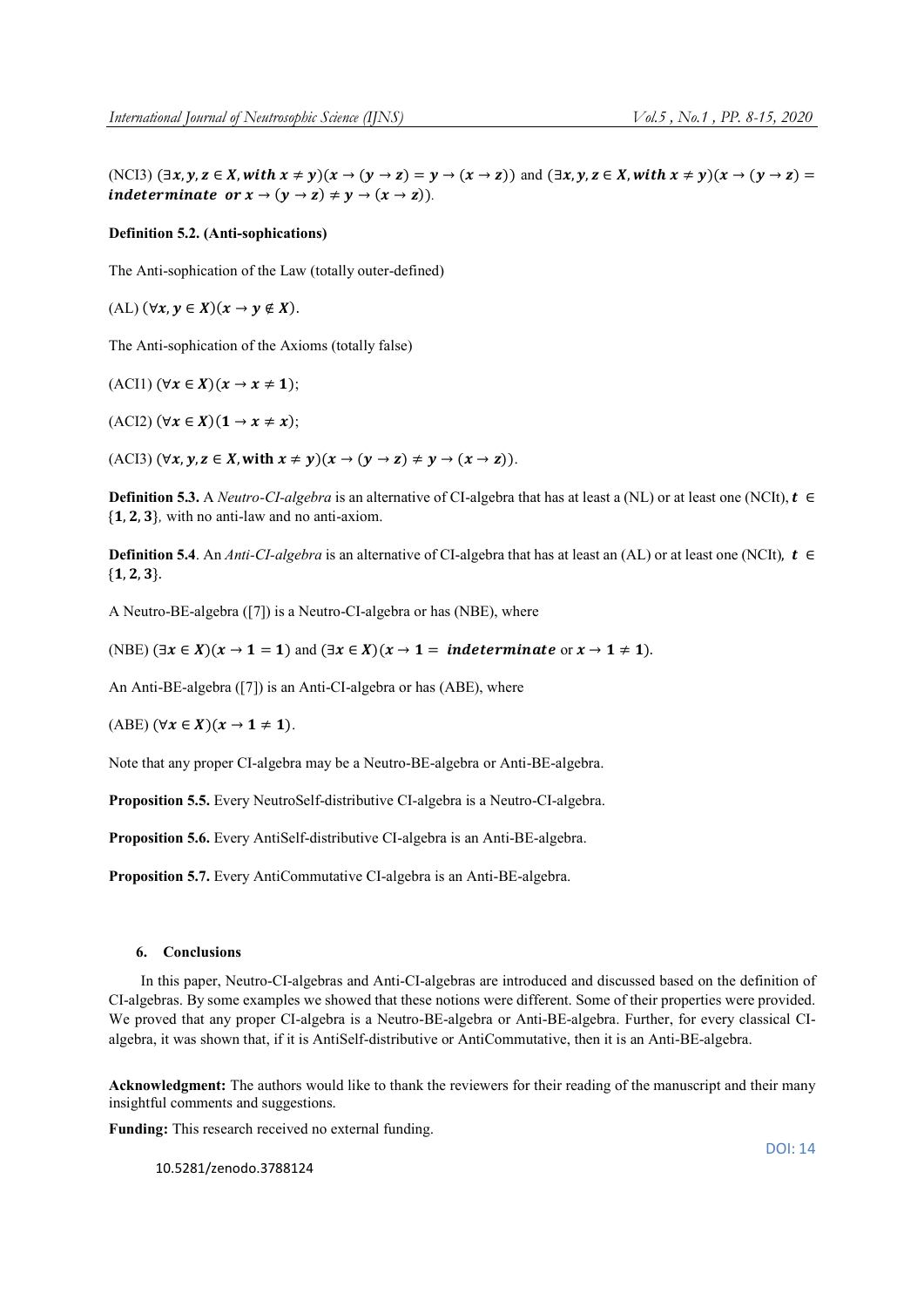(NCI3)  $(\exists x, y, z \in X, with x \neq y)(x \rightarrow (y \rightarrow z) = y \rightarrow (x \rightarrow z))$  and  $(\exists x, y, z \in X, with x \neq y)(x \rightarrow (y \rightarrow z) = y \rightarrow (x \rightarrow z))$ indeterminate or  $x \to (y \to z) \neq y \to (x \to z)$ .

## Definition 5.2. (Anti-sophications)

The Anti-sophication of the Law (totally outer-defined)

(AL)  $(\forall x, y \in X)(x \rightarrow y \notin X)$ .

The Anti-sophication of the Axioms (totally false)

 $(ACI1)$   $(\forall x \in X)(x \rightarrow x \neq 1);$ 

 $(ACI2)$   $(\forall x \in X)$  $(1 \rightarrow x \neq x);$ 

(ACI3)  $(\forall x, y, z \in X$ , with  $x \neq y$  $(x \rightarrow (y \rightarrow z) \neq y \rightarrow (x \rightarrow z))$ .

**Definition 5.3.** A *Neutro-CI-algebra* is an alternative of CI-algebra that has at least a (NL) or at least one (NCIt),  $t \in$  $\{1, 2, 3\}$ , with no anti-law and no anti-axiom.

**Definition 5.4.** An *Anti-CI-algebra* is an alternative of CI-algebra that has at least an (AL) or at least one (NCIt),  $t \in$  ${1, 2, 3}.$ 

A Neutro-BE-algebra ([7]) is a Neutro-CI-algebra or has (NBE), where

(NBE)  $(\exists x \in X)(x \to 1 = 1)$  and  $(\exists x \in X)(x \to 1 = \text{indeterminate or } x \to 1 \neq 1)$ .

An Anti-BE-algebra ([7]) is an Anti-CI-algebra or has (ABE), where

(ABE)  $(\forall x \in X)(x \rightarrow 1 \neq 1)$ .

Note that any proper CI-algebra may be a Neutro-BE-algebra or Anti-BE-algebra.

Proposition 5.5. Every NeutroSelf-distributive CI-algebra is a Neutro-CI-algebra.

Proposition 5.6. Every AntiSelf-distributive CI-algebra is an Anti-BE-algebra.

Proposition 5.7. Every AntiCommutative CI-algebra is an Anti-BE-algebra.

# 6. Conclusions

In this paper, Neutro-CI-algebras and Anti-CI-algebras are introduced and discussed based on the definition of CI-algebras. By some examples we showed that these notions were different. Some of their properties were provided. We proved that any proper CI-algebra is a Neutro-BE-algebra or Anti-BE-algebra. Further, for every classical CIalgebra, it was shown that, if it is AntiSelf-distributive or AntiCommutative, then it is an Anti-BE-algebra.

Acknowledgment: The authors would like to thank the reviewers for their reading of the manuscript and their many insightful comments and suggestions.

Funding: This research received no external funding.

10.5281/zenodo.3788124